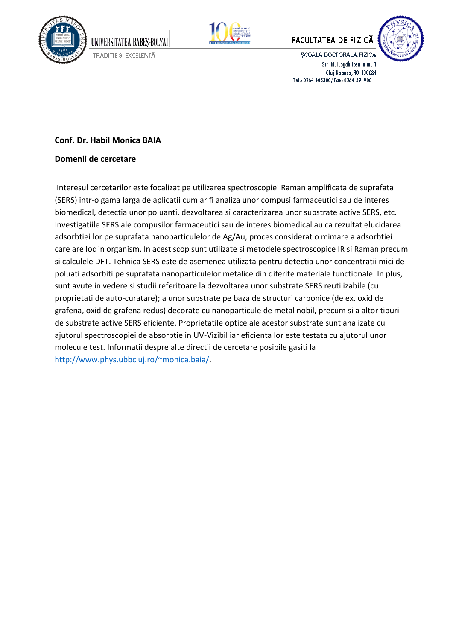



# **FACULTATEA DE FIZICĂ**



ȘCOALA DOCTORALĂ FIZICĂ Str. M. Kogălniceanu nr. 1 Cluj-Napoca, RO-400084 Tel.: 0264-405300/Fax: 0264-591906

### **Conf. Dr. Habil Monica BAIA**

UNIVERSITATEA BABES-BOLYAI TRADIȚIE ȘI EXCELENȚĂ

#### **Domenii de cercetare**

Interesul cercetarilor este focalizat pe utilizarea spectroscopiei Raman amplificata de suprafata (SERS) intr-o gama larga de aplicatii cum ar fi analiza unor compusi farmaceutici sau de interes biomedical, detectia unor poluanti, dezvoltarea si caracterizarea unor substrate active SERS, etc. Investigatiile SERS ale compusilor farmaceutici sau de interes biomedical au ca rezultat elucidarea adsorbtiei lor pe suprafata nanoparticulelor de Ag/Au, proces considerat o mimare a adsorbtiei care are loc in organism. In acest scop sunt utilizate si metodele spectroscopice IR si Raman precum si calculele DFT. Tehnica SERS este de asemenea utilizata pentru detectia unor concentratii mici de poluati adsorbiti pe suprafata nanoparticulelor metalice din diferite materiale functionale. In plus, sunt avute in vedere si studii referitoare la dezvoltarea unor substrate SERS reutilizabile (cu proprietati de auto-curatare); a unor substrate pe baza de structuri carbonice (de ex. oxid de grafena, oxid de grafena redus) decorate cu nanoparticule de metal nobil, precum si a altor tipuri de substrate active SERS eficiente. Proprietatile optice ale acestor substrate sunt analizate cu ajutorul spectroscopiei de absorbtie in UV-Vizibil iar eficienta lor este testata cu ajutorul unor molecule test. Informatii despre alte directii de cercetare posibile gasiti la http://www.phys.ubbcluj.ro/~monica.baia/.